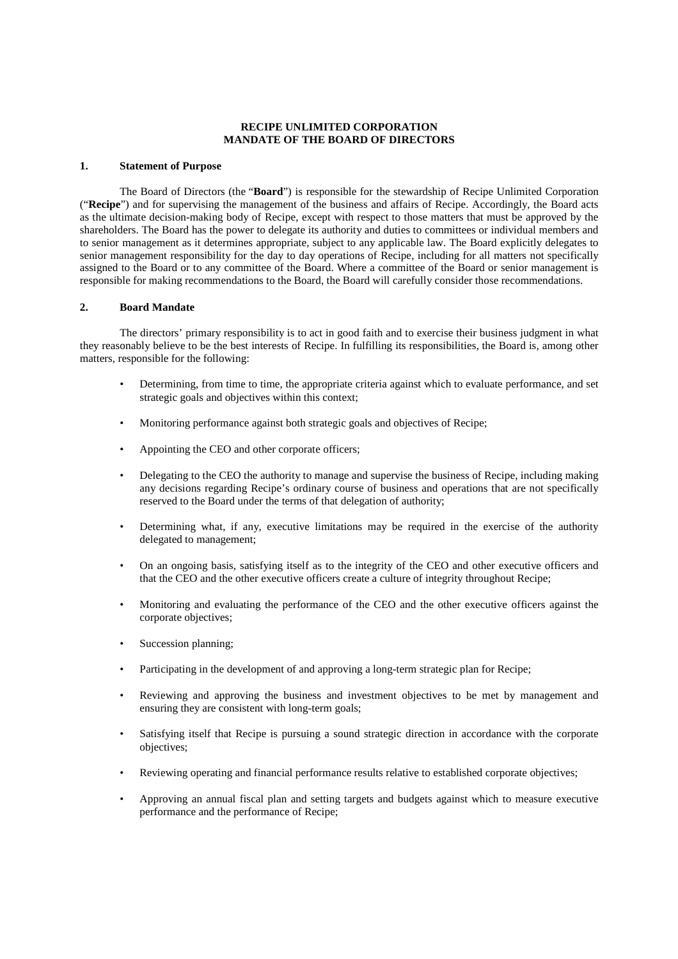# **RECIPE UNLIMITED CORPORATION MANDATE OF THE BOARD OF DIRECTORS**

### **1. Statement of Purpose**

The Board of Directors (the "**Board**") is responsible for the stewardship of Recipe Unlimited Corporation ("**Recipe**") and for supervising the management of the business and affairs of Recipe. Accordingly, the Board acts as the ultimate decision-making body of Recipe, except with respect to those matters that must be approved by the shareholders. The Board has the power to delegate its authority and duties to committees or individual members and to senior management as it determines appropriate, subject to any applicable law. The Board explicitly delegates to senior management responsibility for the day to day operations of Recipe, including for all matters not specifically assigned to the Board or to any committee of the Board. Where a committee of the Board or senior management is responsible for making recommendations to the Board, the Board will carefully consider those recommendations.

## **2. Board Mandate**

The directors' primary responsibility is to act in good faith and to exercise their business judgment in what they reasonably believe to be the best interests of Recipe. In fulfilling its responsibilities, the Board is, among other matters, responsible for the following:

- Determining, from time to time, the appropriate criteria against which to evaluate performance, and set strategic goals and objectives within this context;
- Monitoring performance against both strategic goals and objectives of Recipe;
- Appointing the CEO and other corporate officers;
- Delegating to the CEO the authority to manage and supervise the business of Recipe, including making any decisions regarding Recipe's ordinary course of business and operations that are not specifically reserved to the Board under the terms of that delegation of authority;
- Determining what, if any, executive limitations may be required in the exercise of the authority delegated to management;
- On an ongoing basis, satisfying itself as to the integrity of the CEO and other executive officers and that the CEO and the other executive officers create a culture of integrity throughout Recipe;
- Monitoring and evaluating the performance of the CEO and the other executive officers against the corporate objectives;
- Succession planning;
- Participating in the development of and approving a long-term strategic plan for Recipe;
- Reviewing and approving the business and investment objectives to be met by management and ensuring they are consistent with long-term goals;
- Satisfying itself that Recipe is pursuing a sound strategic direction in accordance with the corporate objectives;
- Reviewing operating and financial performance results relative to established corporate objectives;
- Approving an annual fiscal plan and setting targets and budgets against which to measure executive performance and the performance of Recipe;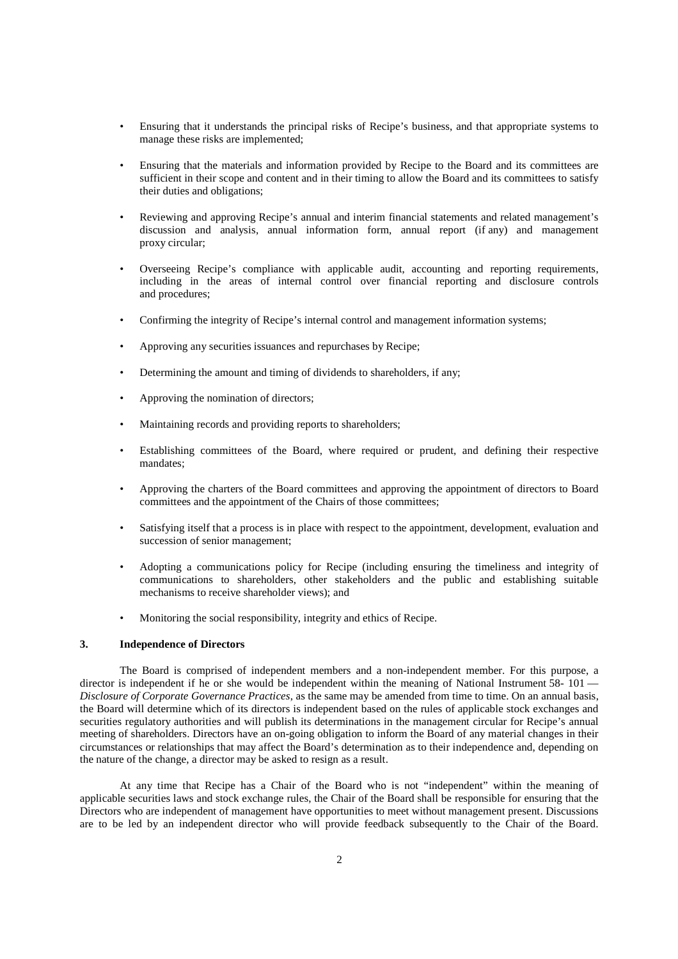- Ensuring that it understands the principal risks of Recipe's business, and that appropriate systems to manage these risks are implemented;
- Ensuring that the materials and information provided by Recipe to the Board and its committees are sufficient in their scope and content and in their timing to allow the Board and its committees to satisfy their duties and obligations;
- Reviewing and approving Recipe's annual and interim financial statements and related management's discussion and analysis, annual information form, annual report (if any) and management proxy circular;
- Overseeing Recipe's compliance with applicable audit, accounting and reporting requirements, including in the areas of internal control over financial reporting and disclosure controls and procedures;
- Confirming the integrity of Recipe's internal control and management information systems;
- Approving any securities issuances and repurchases by Recipe;
- Determining the amount and timing of dividends to shareholders, if any;
- Approving the nomination of directors;
- Maintaining records and providing reports to shareholders;
- Establishing committees of the Board, where required or prudent, and defining their respective mandates;
- Approving the charters of the Board committees and approving the appointment of directors to Board committees and the appointment of the Chairs of those committees;
- Satisfying itself that a process is in place with respect to the appointment, development, evaluation and succession of senior management;
- Adopting a communications policy for Recipe (including ensuring the timeliness and integrity of communications to shareholders, other stakeholders and the public and establishing suitable mechanisms to receive shareholder views); and
- Monitoring the social responsibility, integrity and ethics of Recipe.

# **3. Independence of Directors**

The Board is comprised of independent members and a non-independent member. For this purpose, a director is independent if he or she would be independent within the meaning of National Instrument 58- 101 — *Disclosure of Corporate Governance Practices*, as the same may be amended from time to time. On an annual basis, the Board will determine which of its directors is independent based on the rules of applicable stock exchanges and securities regulatory authorities and will publish its determinations in the management circular for Recipe's annual meeting of shareholders. Directors have an on-going obligation to inform the Board of any material changes in their circumstances or relationships that may affect the Board's determination as to their independence and, depending on the nature of the change, a director may be asked to resign as a result.

At any time that Recipe has a Chair of the Board who is not "independent" within the meaning of applicable securities laws and stock exchange rules, the Chair of the Board shall be responsible for ensuring that the Directors who are independent of management have opportunities to meet without management present. Discussions are to be led by an independent director who will provide feedback subsequently to the Chair of the Board.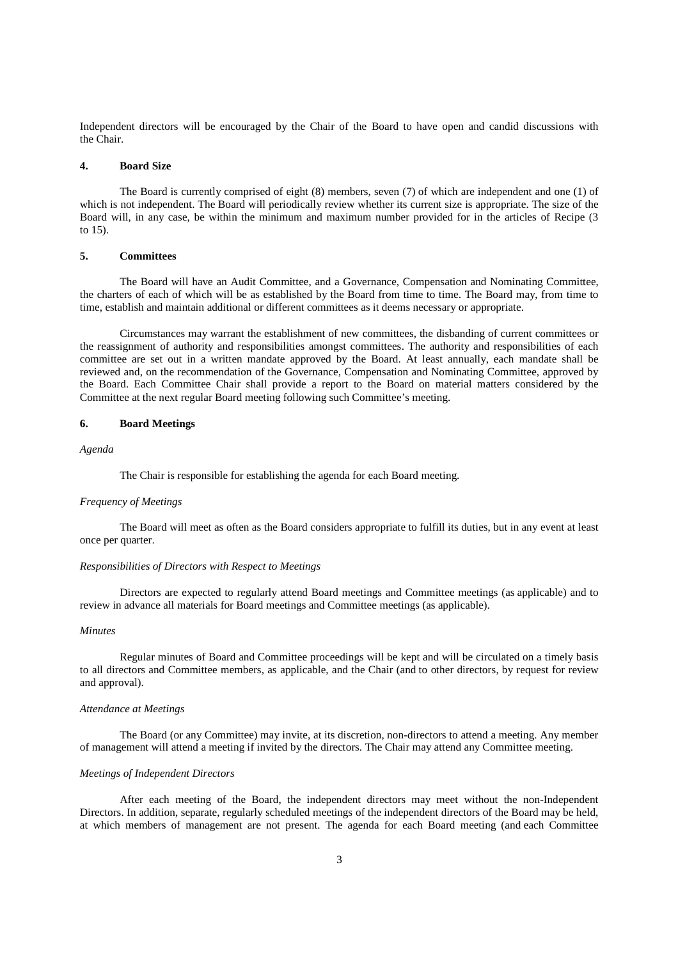Independent directors will be encouraged by the Chair of the Board to have open and candid discussions with the Chair.

#### **4. Board Size**

The Board is currently comprised of eight (8) members, seven (7) of which are independent and one (1) of which is not independent. The Board will periodically review whether its current size is appropriate. The size of the Board will, in any case, be within the minimum and maximum number provided for in the articles of Recipe (3 to 15).

### **5. Committees**

The Board will have an Audit Committee, and a Governance, Compensation and Nominating Committee, the charters of each of which will be as established by the Board from time to time. The Board may, from time to time, establish and maintain additional or different committees as it deems necessary or appropriate.

Circumstances may warrant the establishment of new committees, the disbanding of current committees or the reassignment of authority and responsibilities amongst committees. The authority and responsibilities of each committee are set out in a written mandate approved by the Board. At least annually, each mandate shall be reviewed and, on the recommendation of the Governance, Compensation and Nominating Committee, approved by the Board. Each Committee Chair shall provide a report to the Board on material matters considered by the Committee at the next regular Board meeting following such Committee's meeting.

## **6. Board Meetings**

*Agenda*

The Chair is responsible for establishing the agenda for each Board meeting.

### *Frequency of Meetings*

The Board will meet as often as the Board considers appropriate to fulfill its duties, but in any event at least once per quarter.

# *Responsibilities of Directors with Respect to Meetings*

Directors are expected to regularly attend Board meetings and Committee meetings (as applicable) and to review in advance all materials for Board meetings and Committee meetings (as applicable).

### *Minutes*

Regular minutes of Board and Committee proceedings will be kept and will be circulated on a timely basis to all directors and Committee members, as applicable, and the Chair (and to other directors, by request for review and approval).

#### *Attendance at Meetings*

The Board (or any Committee) may invite, at its discretion, non-directors to attend a meeting. Any member of management will attend a meeting if invited by the directors. The Chair may attend any Committee meeting.

### *Meetings of Independent Directors*

After each meeting of the Board, the independent directors may meet without the non-Independent Directors. In addition, separate, regularly scheduled meetings of the independent directors of the Board may be held, at which members of management are not present. The agenda for each Board meeting (and each Committee